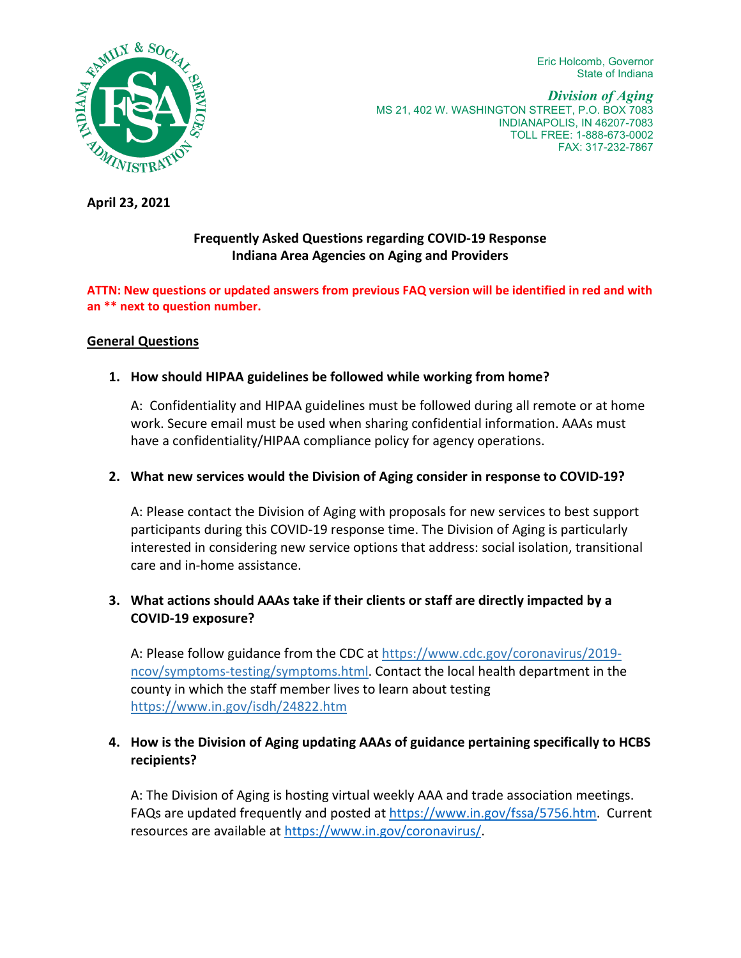Eric Holcomb, Governor State of Indiana



*Division of Aging* MS 21, 402 W. WASHINGTON STREET, P.O. BOX 7083 INDIANAPOLIS, IN 46207-7083 TOLL FREE: 1-888-673-0002 FAX: 317-232-7867

**April 23, 2021**

#### **Frequently Asked Questions regarding COVID-19 Response Indiana Area Agencies on Aging and Providers**

#### **ATTN: New questions or updated answers from previous FAQ version will be identified in red and with an \*\* next to question number.**

#### **General Questions**

# **1. How should HIPAA guidelines be followed while working from home?**

A: Confidentiality and HIPAA guidelines must be followed during all remote or at home work. Secure email must be used when sharing confidential information. AAAs must have a confidentiality/HIPAA compliance policy for agency operations.

#### **2. What new services would the Division of Aging consider in response to COVID-19?**

A: Please contact the Division of Aging with proposals for new services to best support participants during this COVID-19 response time. The Division of Aging is particularly interested in considering new service options that address: social isolation, transitional care and in-home assistance.

# **3. What actions should AAAs take if their clients or staff are directly impacted by a COVID-19 exposure?**

A: Please follow guidance from the CDC a[t https://www.cdc.gov/coronavirus/2019](https://www.cdc.gov/coronavirus/2019-ncov/symptoms-testing/symptoms.html) [ncov/symptoms-testing/symptoms.html.](https://www.cdc.gov/coronavirus/2019-ncov/symptoms-testing/symptoms.html) Contact the local health department in the county in which the staff member lives to learn about testing <https://www.in.gov/isdh/24822.htm>

# **4. How is the Division of Aging updating AAAs of guidance pertaining specifically to HCBS recipients?**

A: The Division of Aging is hosting virtual weekly AAA and trade association meetings. FAQs are updated frequently and posted a[t https://www.in.gov/fssa/5756.htm.](https://www.in.gov/fssa/5756.htm) Current resources are available at [https://www.in.gov/coronavirus/.](https://www.in.gov/coronavirus/)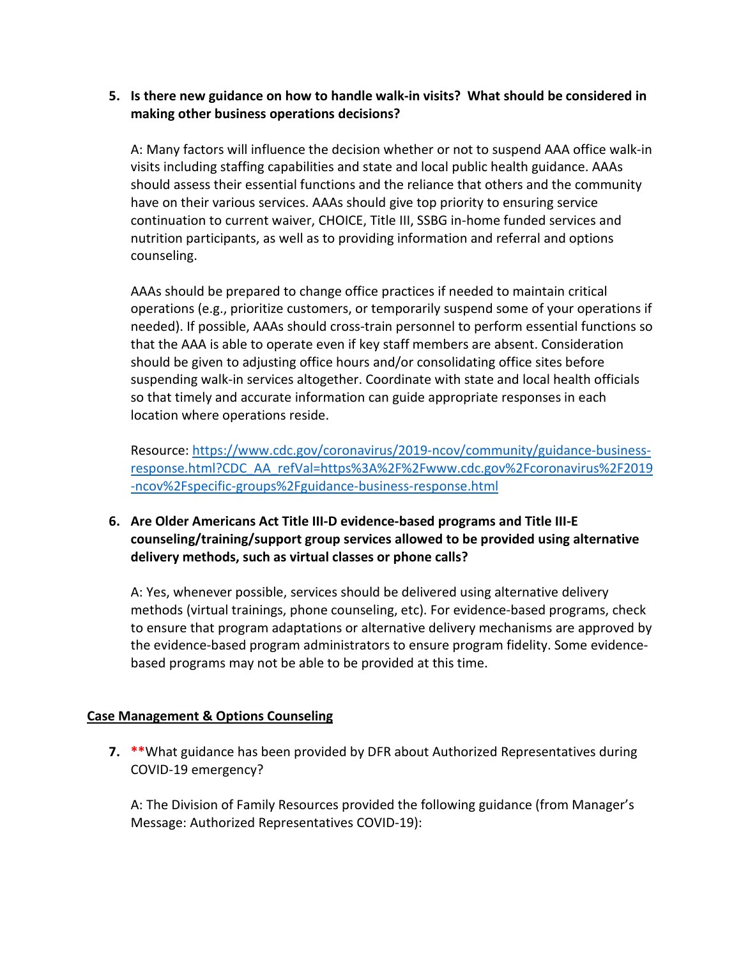## **5. Is there new guidance on how to handle walk-in visits? What should be considered in making other business operations decisions?**

A: Many factors will influence the decision whether or not to suspend AAA office walk-in visits including staffing capabilities and state and local public health guidance. AAAs should assess their essential functions and the reliance that others and the community have on their various services. AAAs should give top priority to ensuring service continuation to current waiver, CHOICE, Title III, SSBG in-home funded services and nutrition participants, as well as to providing information and referral and options counseling.

AAAs should be prepared to change office practices if needed to maintain critical operations (e.g., prioritize customers, or temporarily suspend some of your operations if needed). If possible, AAAs should cross-train personnel to perform essential functions so that the AAA is able to operate even if key staff members are absent. Consideration should be given to adjusting office hours and/or consolidating office sites before suspending walk-in services altogether. Coordinate with state and local health officials so that timely and accurate information can guide appropriate responses in each location where operations reside.

Resource: [https://www.cdc.gov/coronavirus/2019-ncov/community/guidance-business](https://www.cdc.gov/coronavirus/2019-ncov/community/guidance-business-response.html?CDC_AA_refVal=https%3A%2F%2Fwww.cdc.gov%2Fcoronavirus%2F2019-ncov%2Fspecific-groups%2Fguidance-business-response.html)[response.html?CDC\\_AA\\_refVal=https%3A%2F%2Fwww.cdc.gov%2Fcoronavirus%2F2019](https://www.cdc.gov/coronavirus/2019-ncov/community/guidance-business-response.html?CDC_AA_refVal=https%3A%2F%2Fwww.cdc.gov%2Fcoronavirus%2F2019-ncov%2Fspecific-groups%2Fguidance-business-response.html) [-ncov%2Fspecific-groups%2Fguidance-business-response.html](https://www.cdc.gov/coronavirus/2019-ncov/community/guidance-business-response.html?CDC_AA_refVal=https%3A%2F%2Fwww.cdc.gov%2Fcoronavirus%2F2019-ncov%2Fspecific-groups%2Fguidance-business-response.html)

# **6. Are Older Americans Act Title III-D evidence-based programs and Title III-E counseling/training/support group services allowed to be provided using alternative delivery methods, such as virtual classes or phone calls?**

A: Yes, whenever possible, services should be delivered using alternative delivery methods (virtual trainings, phone counseling, etc). For evidence-based programs, check to ensure that program adaptations or alternative delivery mechanisms are approved by the evidence-based program administrators to ensure program fidelity. Some evidencebased programs may not be able to be provided at this time.

#### **Case Management & Options Counseling**

**7. \*\***What guidance has been provided by DFR about Authorized Representatives during COVID-19 emergency?

A: The Division of Family Resources provided the following guidance (from Manager's Message: Authorized Representatives COVID-19):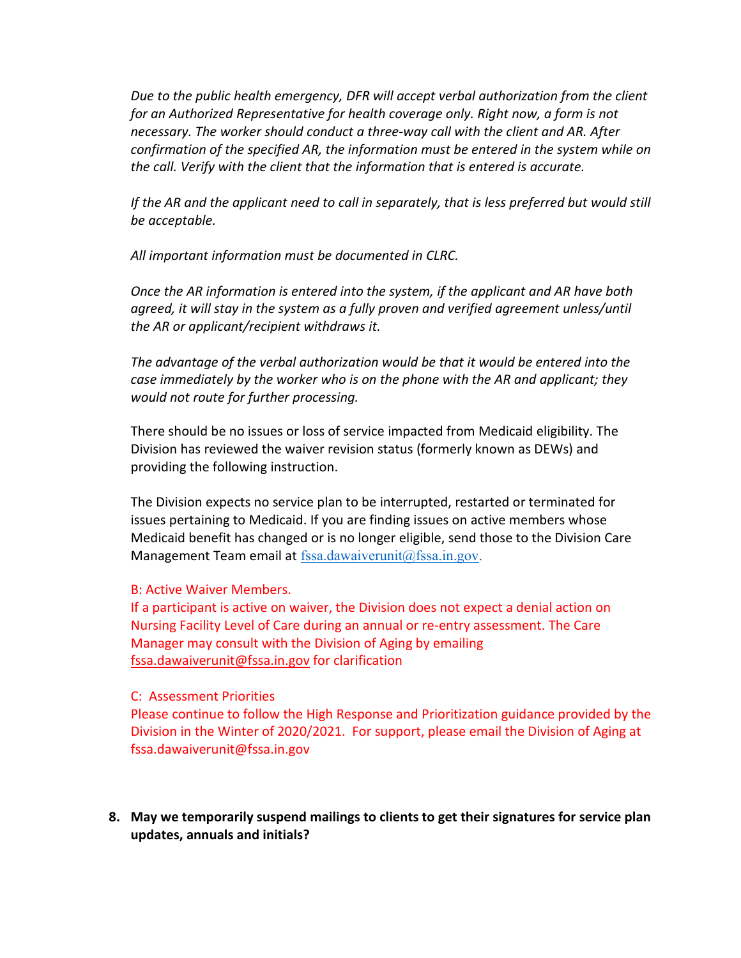*Due to the public health emergency, DFR will accept verbal authorization from the client for an Authorized Representative for health coverage only. Right now, a form is not necessary. The worker should conduct a three-way call with the client and AR. After confirmation of the specified AR, the information must be entered in the system while on the call. Verify with the client that the information that is entered is accurate.*

*If the AR and the applicant need to call in separately, that is less preferred but would still be acceptable.*

*All important information must be documented in CLRC.*

*Once the AR information is entered into the system, if the applicant and AR have both agreed, it will stay in the system as a fully proven and verified agreement unless/until the AR or applicant/recipient withdraws it.* 

*The advantage of the verbal authorization would be that it would be entered into the case immediately by the worker who is on the phone with the AR and applicant; they would not route for further processing.*

There should be no issues or loss of service impacted from Medicaid eligibility. The Division has reviewed the waiver revision status (formerly known as DEWs) and providing the following instruction.

The Division expects no service plan to be interrupted, restarted or terminated for issues pertaining to Medicaid. If you are finding issues on active members whose Medicaid benefit has changed or is no longer eligible, send those to the Division Care Management Team email at fssa.dawaiverunit $@$ fssa.in.gov.

#### B: Active Waiver Members.

If a participant is active on waiver, the Division does not expect a denial action on Nursing Facility Level of Care during an annual or re-entry assessment. The Care Manager may consult with the Division of Aging by emailing [fssa.dawaiverunit@fssa.in.gov](mailto:fssa.dawaiverunit@fssa.in.gov) for clarification

#### C: Assessment Priorities

Please continue to follow the High Response and Prioritization guidance provided by the Division in the Winter of 2020/2021. For support, please email the Division of Aging at fssa.dawaiverunit@fssa.in.gov

**8. May we temporarily suspend mailings to clients to get their signatures for service plan updates, annuals and initials?**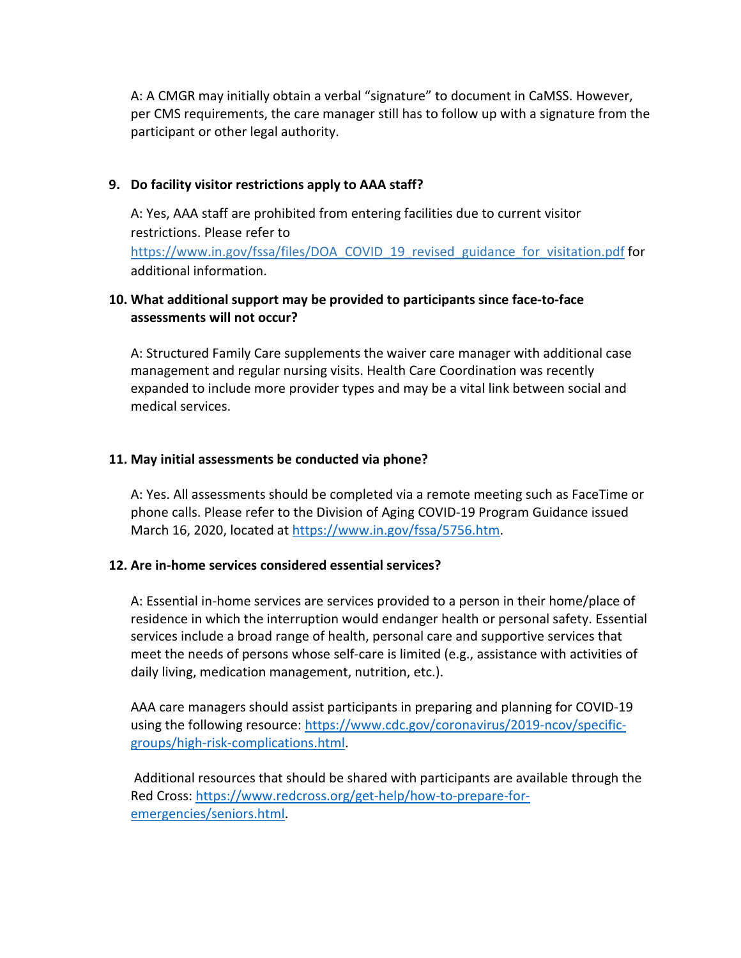A: A CMGR may initially obtain a verbal "signature" to document in CaMSS. However, per CMS requirements, the care manager still has to follow up with a signature from the participant or other legal authority.

#### **9. Do facility visitor restrictions apply to AAA staff?**

A: Yes, AAA staff are prohibited from entering facilities due to current visitor restrictions. Please refer to [https://www.in.gov/fssa/files/DOA\\_COVID\\_19\\_revised\\_guidance\\_for\\_visitation.pdf](https://www.in.gov/fssa/files/DOA_COVID_19_revised_guidance_for_visitation.pdf) for additional information.

#### **10. What additional support may be provided to participants since face-to-face assessments will not occur?**

A: Structured Family Care supplements the waiver care manager with additional case management and regular nursing visits. Health Care Coordination was recently expanded to include more provider types and may be a vital link between social and medical services.

#### **11. May initial assessments be conducted via phone?**

A: Yes. All assessments should be completed via a remote meeting such as FaceTime or phone calls. Please refer to the Division of Aging COVID-19 Program Guidance issued March 16, 2020, located at [https://www.in.gov/fssa/5756.htm.](https://www.in.gov/fssa/5756.htm)

#### **12. Are in-home services considered essential services?**

A: Essential in-home services are services provided to a person in their home/place of residence in which the interruption would endanger health or personal safety. Essential services include a broad range of health, personal care and supportive services that meet the needs of persons whose self-care is limited (e.g., assistance with activities of daily living, medication management, nutrition, etc.).

AAA care managers should assist participants in preparing and planning for COVID-19 using the following resource: [https://www.cdc.gov/coronavirus/2019-ncov/specific](https://www.cdc.gov/coronavirus/2019-ncov/specific-groups/high-risk-complications.html)[groups/high-risk-complications.html.](https://www.cdc.gov/coronavirus/2019-ncov/specific-groups/high-risk-complications.html)

Additional resources that should be shared with participants are available through the Red Cross[: https://www.redcross.org/get-help/how-to-prepare-for](https://www.redcross.org/get-help/how-to-prepare-for-emergencies/seniors.html)[emergencies/seniors.html.](https://www.redcross.org/get-help/how-to-prepare-for-emergencies/seniors.html)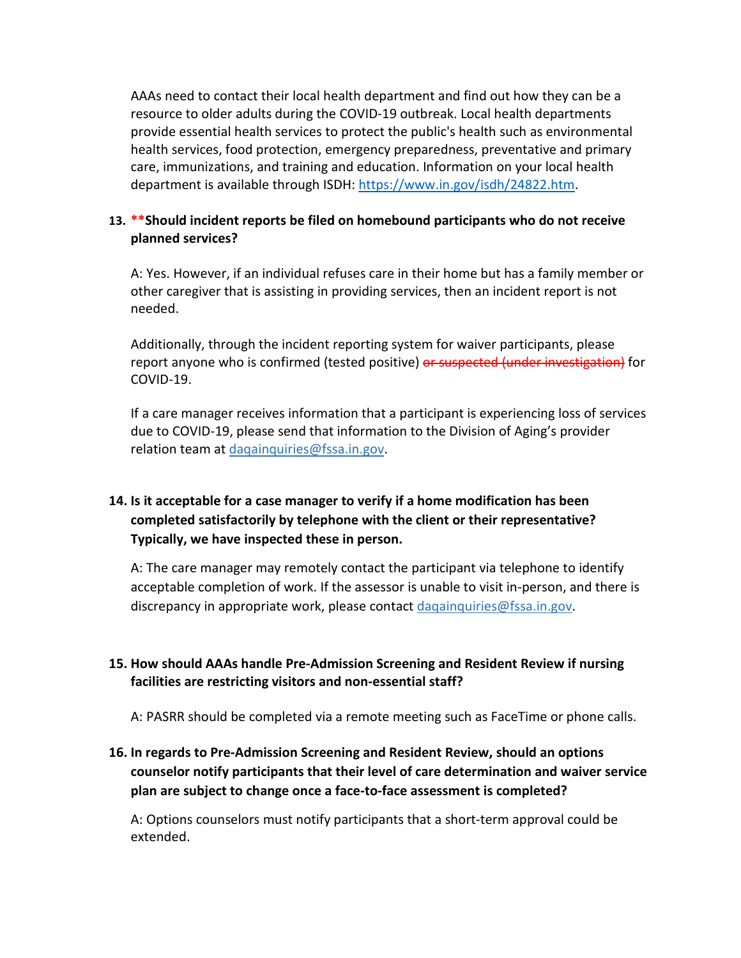AAAs need to contact their local health department and find out how they can be a resource to older adults during the COVID-19 outbreak. Local health departments provide essential health services to protect the public's health such as environmental health services, food protection, emergency preparedness, preventative and primary care, immunizations, and training and education. Information on your local health department is available through ISDH: [https://www.in.gov/isdh/24822.htm.](https://www.in.gov/isdh/24822.htm)

# **13. \*\*Should incident reports be filed on homebound participants who do not receive planned services?**

A: Yes. However, if an individual refuses care in their home but has a family member or other caregiver that is assisting in providing services, then an incident report is not needed.

Additionally, through the incident reporting system for waiver participants, please report anyone who is confirmed (tested positive) or suspected (under investigation) for COVID-19.

If a care manager receives information that a participant is experiencing loss of services due to COVID-19, please send that information to the Division of Aging's provider relation team at dagainquiries@fssa.in.gov.

# **14. Is it acceptable for a case manager to verify if a home modification has been completed satisfactorily by telephone with the client or their representative? Typically, we have inspected these in person.**

A: The care manager may remotely contact the participant via telephone to identify acceptable completion of work. If the assessor is unable to visit in-person, and there is discrepancy in appropriate work, please contact [daqainquiries@fssa.in.gov.](mailto:daqainquiries@fssa.in.gov)

# **15. How should AAAs handle Pre-Admission Screening and Resident Review if nursing facilities are restricting visitors and non-essential staff?**

A: PASRR should be completed via a remote meeting such as FaceTime or phone calls.

# **16. In regards to Pre-Admission Screening and Resident Review, should an options counselor notify participants that their level of care determination and waiver service plan are subject to change once a face-to-face assessment is completed?**

A: Options counselors must notify participants that a short-term approval could be extended.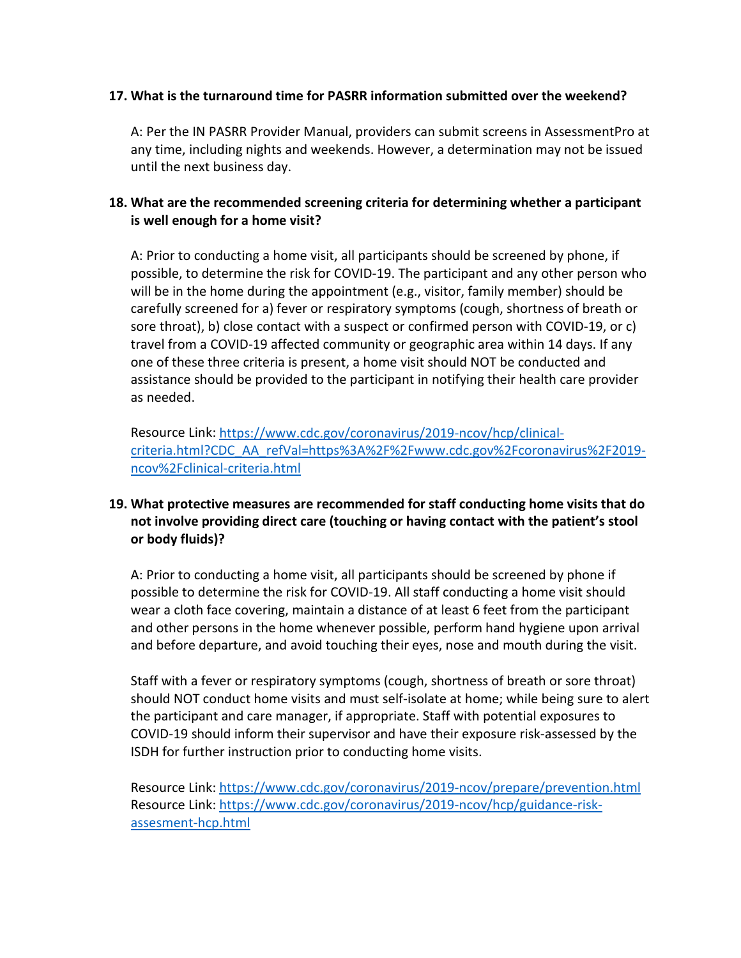#### **17. What is the turnaround time for PASRR information submitted over the weekend?**

A: Per the IN PASRR Provider Manual, providers can submit screens in AssessmentPro at any time, including nights and weekends. However, a determination may not be issued until the next business day.

# **18. What are the recommended screening criteria for determining whether a participant is well enough for a home visit?**

A: Prior to conducting a home visit, all participants should be screened by phone, if possible, to determine the risk for COVID-19. The participant and any other person who will be in the home during the appointment (e.g., visitor, family member) should be carefully screened for a) fever or respiratory symptoms (cough, shortness of breath or sore throat), b) close contact with a suspect or confirmed person with COVID-19, or c) travel from a COVID-19 affected community or geographic area within 14 days. If any one of these three criteria is present, a home visit should NOT be conducted and assistance should be provided to the participant in notifying their health care provider as needed.

Resource Link: [https://www.cdc.gov/coronavirus/2019-ncov/hcp/clinical](https://www.cdc.gov/coronavirus/2019-ncov/hcp/clinical-criteria.html?CDC_AA_refVal=https%3A%2F%2Fwww.cdc.gov%2Fcoronavirus%2F2019-ncov%2Fclinical-criteria.html)[criteria.html?CDC\\_AA\\_refVal=https%3A%2F%2Fwww.cdc.gov%2Fcoronavirus%2F2019](https://www.cdc.gov/coronavirus/2019-ncov/hcp/clinical-criteria.html?CDC_AA_refVal=https%3A%2F%2Fwww.cdc.gov%2Fcoronavirus%2F2019-ncov%2Fclinical-criteria.html) [ncov%2Fclinical-criteria.html](https://www.cdc.gov/coronavirus/2019-ncov/hcp/clinical-criteria.html?CDC_AA_refVal=https%3A%2F%2Fwww.cdc.gov%2Fcoronavirus%2F2019-ncov%2Fclinical-criteria.html)

# **19. What protective measures are recommended for staff conducting home visits that do not involve providing direct care (touching or having contact with the patient's stool or body fluids)?**

A: Prior to conducting a home visit, all participants should be screened by phone if possible to determine the risk for COVID-19. All staff conducting a home visit should wear a cloth face covering, maintain a distance of at least 6 feet from the participant and other persons in the home whenever possible, perform hand hygiene upon arrival and before departure, and avoid touching their eyes, nose and mouth during the visit.

Staff with a fever or respiratory symptoms (cough, shortness of breath or sore throat) should NOT conduct home visits and must self-isolate at home; while being sure to alert the participant and care manager, if appropriate. Staff with potential exposures to COVID-19 should inform their supervisor and have their exposure risk-assessed by the ISDH for further instruction prior to conducting home visits.

Resource Link:<https://www.cdc.gov/coronavirus/2019-ncov/prepare/prevention.html> Resource Link: [https://www.cdc.gov/coronavirus/2019-ncov/hcp/guidance-risk](https://www.cdc.gov/coronavirus/2019-ncov/hcp/guidance-risk-assesment-hcp.html)[assesment-hcp.html](https://www.cdc.gov/coronavirus/2019-ncov/hcp/guidance-risk-assesment-hcp.html)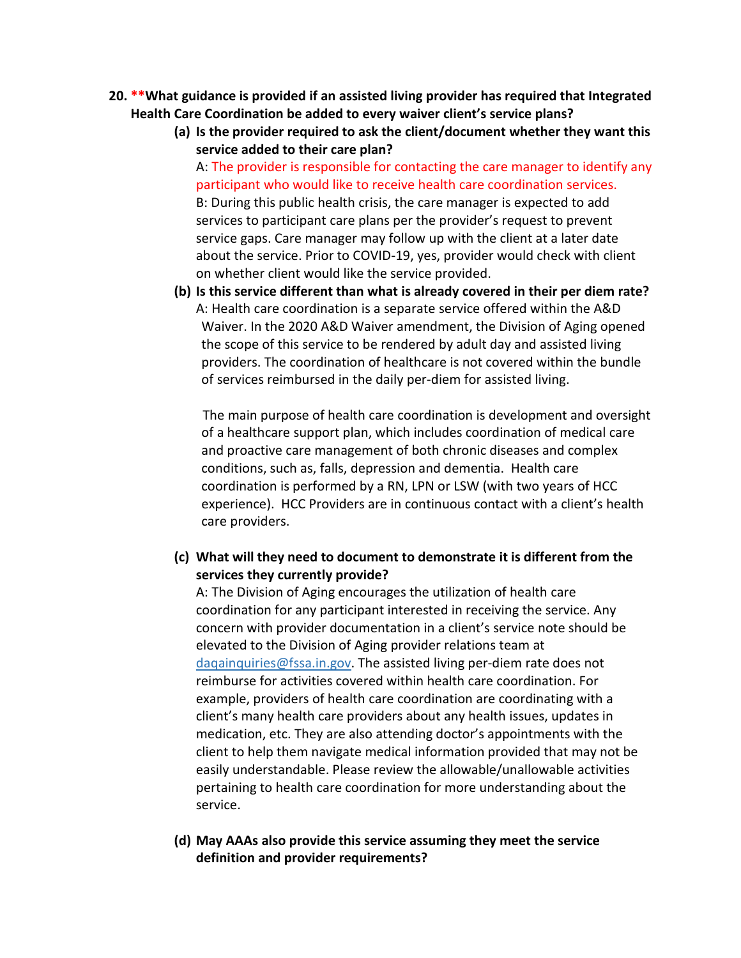- **20. \*\*What guidance is provided if an assisted living provider has required that Integrated Health Care Coordination be added to every waiver client's service plans?**
	- **(a) Is the provider required to ask the client/document whether they want this service added to their care plan?**

A: The provider is responsible for contacting the care manager to identify any participant who would like to receive health care coordination services. B: During this public health crisis, the care manager is expected to add services to participant care plans per the provider's request to prevent service gaps. Care manager may follow up with the client at a later date about the service. Prior to COVID-19, yes, provider would check with client on whether client would like the service provided.

**(b) Is this service different than what is already covered in their per diem rate?**  A: Health care coordination is a separate service offered within the A&D Waiver. In the 2020 A&D Waiver amendment, the Division of Aging opened the scope of this service to be rendered by adult day and assisted living providers. The coordination of healthcare is not covered within the bundle of services reimbursed in the daily per-diem for assisted living.

 The main purpose of health care coordination is development and oversight of a healthcare support plan, which includes coordination of medical care and proactive care management of both chronic diseases and complex conditions, such as, falls, depression and dementia. Health care coordination is performed by a RN, LPN or LSW (with two years of HCC experience). HCC Providers are in continuous contact with a client's health care providers.

#### **(c) What will they need to document to demonstrate it is different from the services they currently provide?**

A: The Division of Aging encourages the utilization of health care coordination for any participant interested in receiving the service. Any concern with provider documentation in a client's service note should be elevated to the Division of Aging provider relations team at [daqainquiries@fssa.in.gov.](mailto:daqainquiries@fssa.in.gov) The assisted living per-diem rate does not reimburse for activities covered within health care coordination. For example, providers of health care coordination are coordinating with a client's many health care providers about any health issues, updates in medication, etc. They are also attending doctor's appointments with the client to help them navigate medical information provided that may not be easily understandable. Please review the allowable/unallowable activities pertaining to health care coordination for more understanding about the service.

**(d) May AAAs also provide this service assuming they meet the service definition and provider requirements?**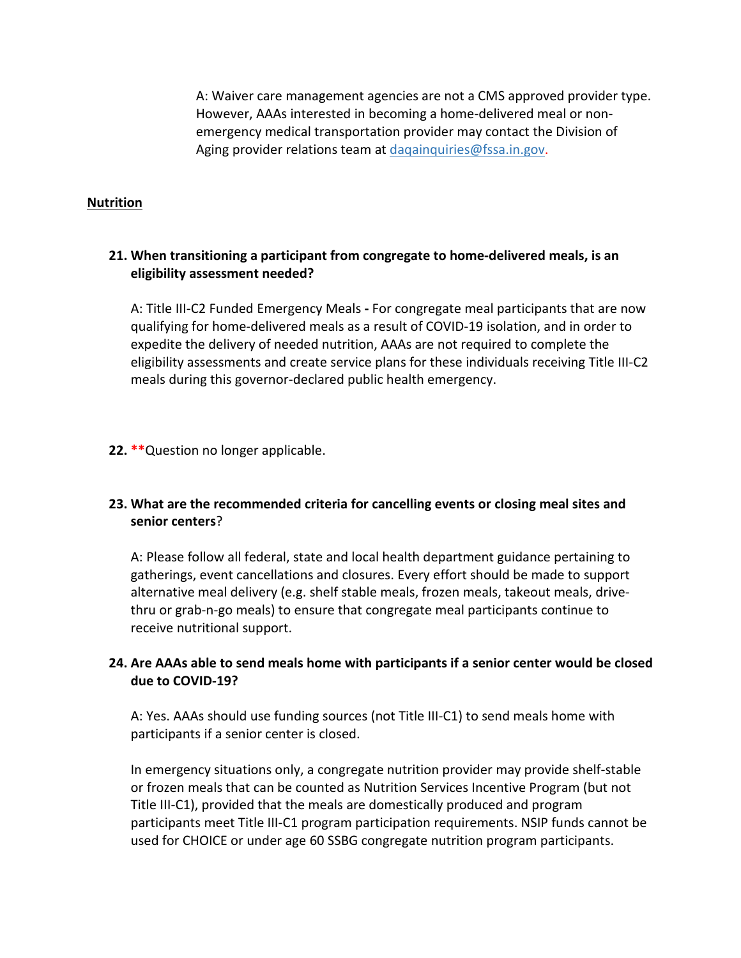A: Waiver care management agencies are not a CMS approved provider type. However, AAAs interested in becoming a home-delivered meal or nonemergency medical transportation provider may contact the Division of Aging provider relations team at [daqainquiries@fssa.in.gov.](mailto:daqainquiries@fssa.in.gov)

#### **Nutrition**

#### **21. When transitioning a participant from congregate to home-delivered meals, is an eligibility assessment needed?**

A: Title III-C2 Funded Emergency Meals **-** For congregate meal participants that are now qualifying for home-delivered meals as a result of COVID-19 isolation, and in order to expedite the delivery of needed nutrition, AAAs are not required to complete the eligibility assessments and create service plans for these individuals receiving Title III-C2 meals during this governor-declared public health emergency.

#### **22. \*\***Question no longer applicable.

# **23. What are the recommended criteria for cancelling events or closing meal sites and senior centers**?

A: Please follow all federal, state and local health department guidance pertaining to gatherings, event cancellations and closures. Every effort should be made to support alternative meal delivery (e.g. shelf stable meals, frozen meals, takeout meals, drivethru or grab-n-go meals) to ensure that congregate meal participants continue to receive nutritional support.

# **24. Are AAAs able to send meals home with participants if a senior center would be closed due to COVID-19?**

A: Yes. AAAs should use funding sources (not Title III-C1) to send meals home with participants if a senior center is closed.

In emergency situations only, a congregate nutrition provider may provide shelf-stable or frozen meals that can be counted as Nutrition Services Incentive Program (but not Title III-C1), provided that the meals are domestically produced and program participants meet Title III-C1 program participation requirements. NSIP funds cannot be used for CHOICE or under age 60 SSBG congregate nutrition program participants.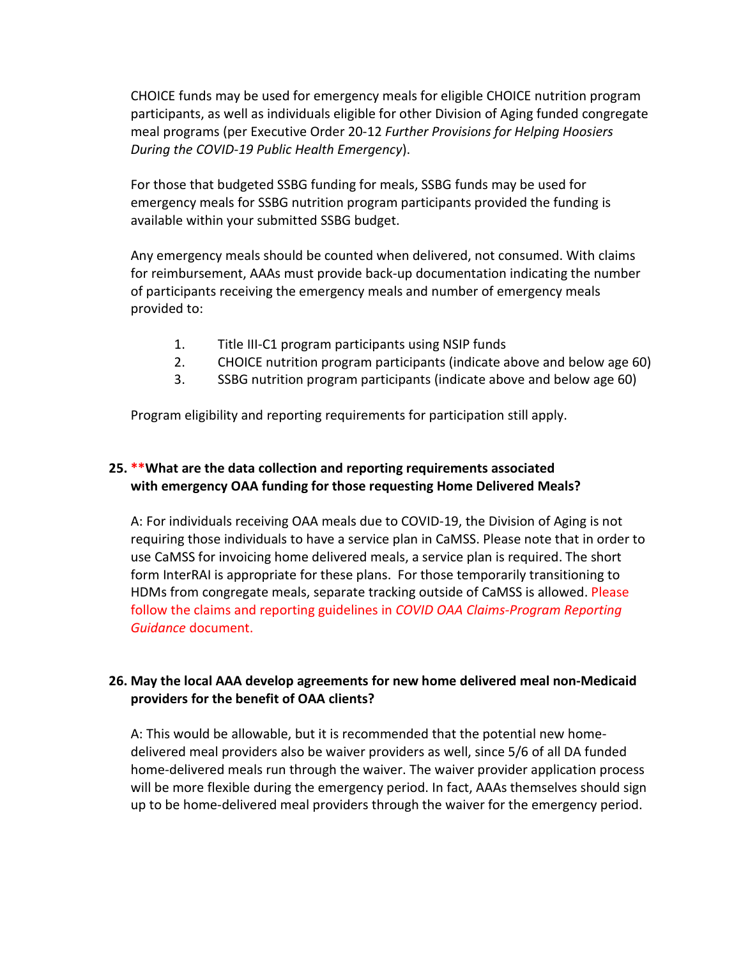CHOICE funds may be used for emergency meals for eligible CHOICE nutrition program participants, as well as individuals eligible for other Division of Aging funded congregate meal programs (per Executive Order 20-12 *Further Provisions for Helping Hoosiers During the COVID-19 Public Health Emergency*).

For those that budgeted SSBG funding for meals, SSBG funds may be used for emergency meals for SSBG nutrition program participants provided the funding is available within your submitted SSBG budget.

Any emergency meals should be counted when delivered, not consumed. With claims for reimbursement, AAAs must provide back-up documentation indicating the number of participants receiving the emergency meals and number of emergency meals provided to:

- 1. Title III-C1 program participants using NSIP funds
- 2. CHOICE nutrition program participants (indicate above and below age 60)
- 3. SSBG nutrition program participants (indicate above and below age 60)

Program eligibility and reporting requirements for participation still apply.

# **25. \*\*What are the data collection and reporting requirements associated with emergency OAA funding for those requesting Home Delivered Meals?**

A: For individuals receiving OAA meals due to COVID-19, the Division of Aging is not requiring those individuals to have a service plan in CaMSS. Please note that in order to use CaMSS for invoicing home delivered meals, a service plan is required. The short form InterRAI is appropriate for these plans. For those temporarily transitioning to HDMs from congregate meals, separate tracking outside of CaMSS is allowed. Please follow the claims and reporting guidelines in *COVID OAA Claims-Program Reporting Guidance* document.

# **26. May the local AAA develop agreements for new home delivered meal non-Medicaid providers for the benefit of OAA clients?**

A: This would be allowable, but it is recommended that the potential new homedelivered meal providers also be waiver providers as well, since 5/6 of all DA funded home-delivered meals run through the waiver. The waiver provider application process will be more flexible during the emergency period. In fact, AAAs themselves should sign up to be home-delivered meal providers through the waiver for the emergency period.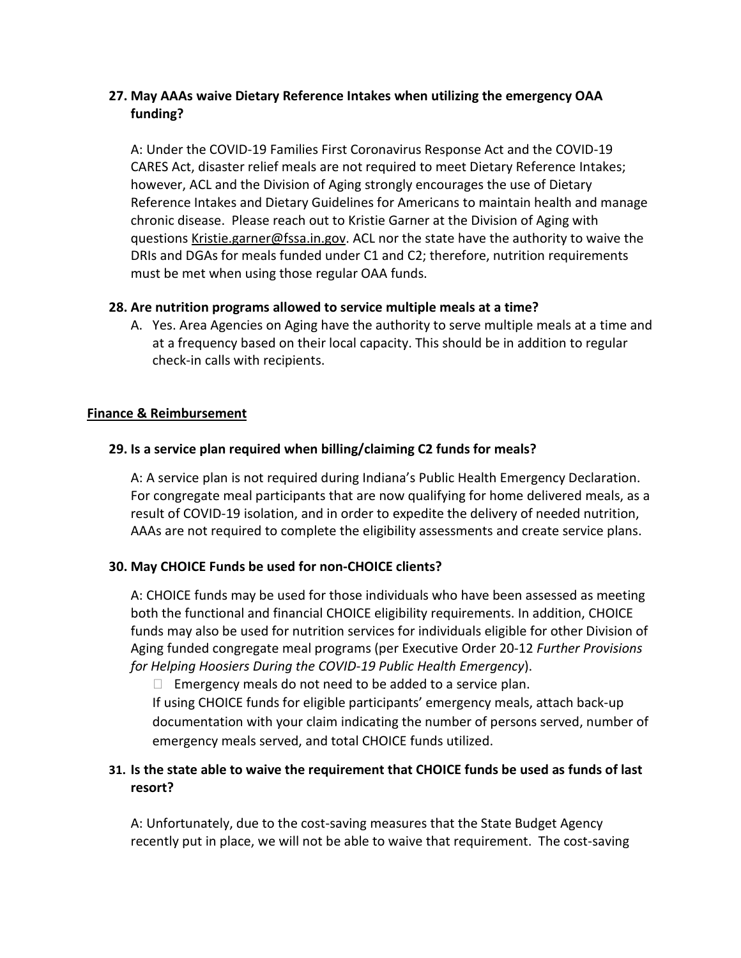# **27. May AAAs waive Dietary Reference Intakes when utilizing the emergency OAA funding?**

A: Under the COVID-19 Families First Coronavirus Response Act and the COVID-19 CARES Act, disaster relief meals are not required to meet Dietary Reference Intakes; however, ACL and the Division of Aging strongly encourages the use of Dietary Reference Intakes and Dietary Guidelines for Americans to maintain health and manage chronic disease. Please reach out to Kristie Garner at the Division of Aging with questions [Kristie.garner@fssa.in.gov.](mailto:Kristie.garner@fssa.in.gov) ACL nor the state have the authority to waive the DRIs and DGAs for meals funded under C1 and C2; therefore, nutrition requirements must be met when using those regular OAA funds.

#### **28. Are nutrition programs allowed to service multiple meals at a time?**

A. Yes. Area Agencies on Aging have the authority to serve multiple meals at a time and at a frequency based on their local capacity. This should be in addition to regular check-in calls with recipients.

#### **Finance & Reimbursement**

# **29. Is a service plan required when billing/claiming C2 funds for meals?**

A: A service plan is not required during Indiana's Public Health Emergency Declaration. For congregate meal participants that are now qualifying for home delivered meals, as a result of COVID-19 isolation, and in order to expedite the delivery of needed nutrition, AAAs are not required to complete the eligibility assessments and create service plans.

# **30. May CHOICE Funds be used for non-CHOICE clients?**

A: CHOICE funds may be used for those individuals who have been assessed as meeting both the functional and financial CHOICE eligibility requirements. In addition, CHOICE funds may also be used for nutrition services for individuals eligible for other Division of Aging funded congregate meal programs (per Executive Order 20-12 *Further Provisions for Helping Hoosiers During the COVID-19 Public Health Emergency*).

 $\Box$  Emergency meals do not need to be added to a service plan.

If using CHOICE funds for eligible participants' emergency meals, attach back-up documentation with your claim indicating the number of persons served, number of emergency meals served, and total CHOICE funds utilized.

# **31. Is the state able to waive the requirement that CHOICE funds be used as funds of last resort?**

A: Unfortunately, due to the cost-saving measures that the State Budget Agency recently put in place, we will not be able to waive that requirement. The cost-saving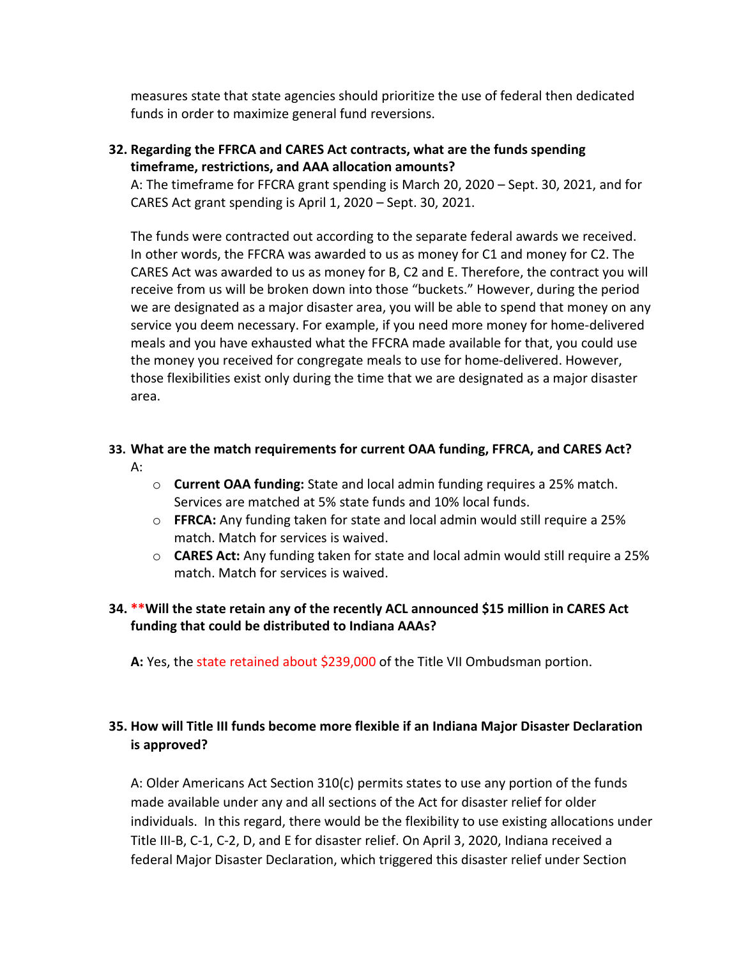measures state that state agencies should prioritize the use of federal then dedicated funds in order to maximize general fund reversions.

## **32. Regarding the FFRCA and CARES Act contracts, what are the funds spending timeframe, restrictions, and AAA allocation amounts?**

A: The timeframe for FFCRA grant spending is March 20, 2020 – Sept. 30, 2021, and for CARES Act grant spending is April 1, 2020 – Sept. 30, 2021.

The funds were contracted out according to the separate federal awards we received. In other words, the FFCRA was awarded to us as money for C1 and money for C2. The CARES Act was awarded to us as money for B, C2 and E. Therefore, the contract you will receive from us will be broken down into those "buckets." However, during the period we are designated as a major disaster area, you will be able to spend that money on any service you deem necessary. For example, if you need more money for home-delivered meals and you have exhausted what the FFCRA made available for that, you could use the money you received for congregate meals to use for home-delivered. However, those flexibilities exist only during the time that we are designated as a major disaster area.

#### **33. What are the match requirements for current OAA funding, FFRCA, and CARES Act?** A:

- o **Current OAA funding:** State and local admin funding requires a 25% match. Services are matched at 5% state funds and 10% local funds.
- o **FFRCA:** Any funding taken for state and local admin would still require a 25% match. Match for services is waived.
- o **CARES Act:** Any funding taken for state and local admin would still require a 25% match. Match for services is waived.

# **34. \*\*Will the state retain any of the recently ACL announced \$15 million in CARES Act funding that could be distributed to Indiana AAAs?**

**A:** Yes, the state retained about \$239,000 of the Title VII Ombudsman portion.

# **35. How will Title III funds become more flexible if an Indiana Major Disaster Declaration is approved?**

A: Older Americans Act Section 310(c) permits states to use any portion of the funds made available under any and all sections of the Act for disaster relief for older individuals. In this regard, there would be the flexibility to use existing allocations under Title III-B, C-1, C-2, D, and E for disaster relief. On April 3, 2020, Indiana received a federal Major Disaster Declaration, which triggered this disaster relief under Section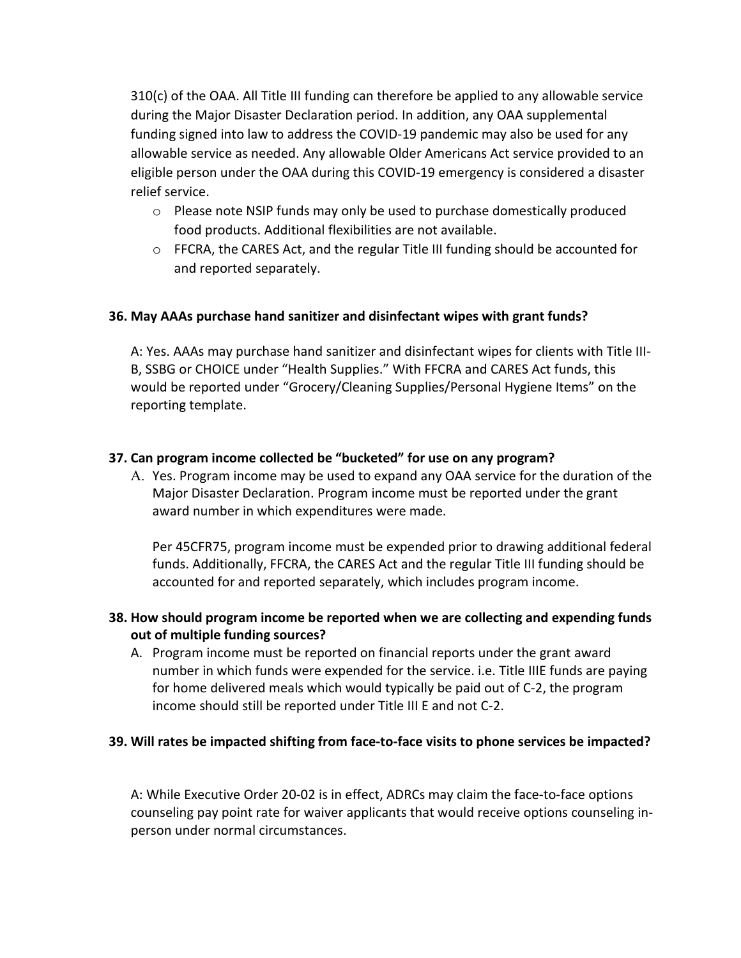310(c) of the OAA. All Title III funding can therefore be applied to any allowable service during the Major Disaster Declaration period. In addition, any OAA supplemental funding signed into law to address the COVID-19 pandemic may also be used for any allowable service as needed. Any allowable Older Americans Act service provided to an eligible person under the OAA during this COVID-19 emergency is considered a disaster relief service.

- o Please note NSIP funds may only be used to purchase domestically produced food products. Additional flexibilities are not available.
- $\circ$  FFCRA, the CARES Act, and the regular Title III funding should be accounted for and reported separately.

# **36. May AAAs purchase hand sanitizer and disinfectant wipes with grant funds?**

A: Yes. AAAs may purchase hand sanitizer and disinfectant wipes for clients with Title III-B, SSBG or CHOICE under "Health Supplies." With FFCRA and CARES Act funds, this would be reported under "Grocery/Cleaning Supplies/Personal Hygiene Items" on the reporting template.

#### **37. Can program income collected be "bucketed" for use on any program?**

A. Yes. Program income may be used to expand any OAA service for the duration of the Major Disaster Declaration. Program income must be reported under the grant award number in which expenditures were made.

Per 45CFR75, program income must be expended prior to drawing additional federal funds. Additionally, FFCRA, the CARES Act and the regular Title III funding should be accounted for and reported separately, which includes program income.

# **38. How should program income be reported when we are collecting and expending funds out of multiple funding sources?**

A. Program income must be reported on financial reports under the grant award number in which funds were expended for the service. i.e. Title IIIE funds are paying for home delivered meals which would typically be paid out of C-2, the program income should still be reported under Title III E and not C-2.

# **39. Will rates be impacted shifting from face-to-face visits to phone services be impacted?**

A: While Executive Order 20-02 is in effect, ADRCs may claim the face-to-face options counseling pay point rate for waiver applicants that would receive options counseling inperson under normal circumstances.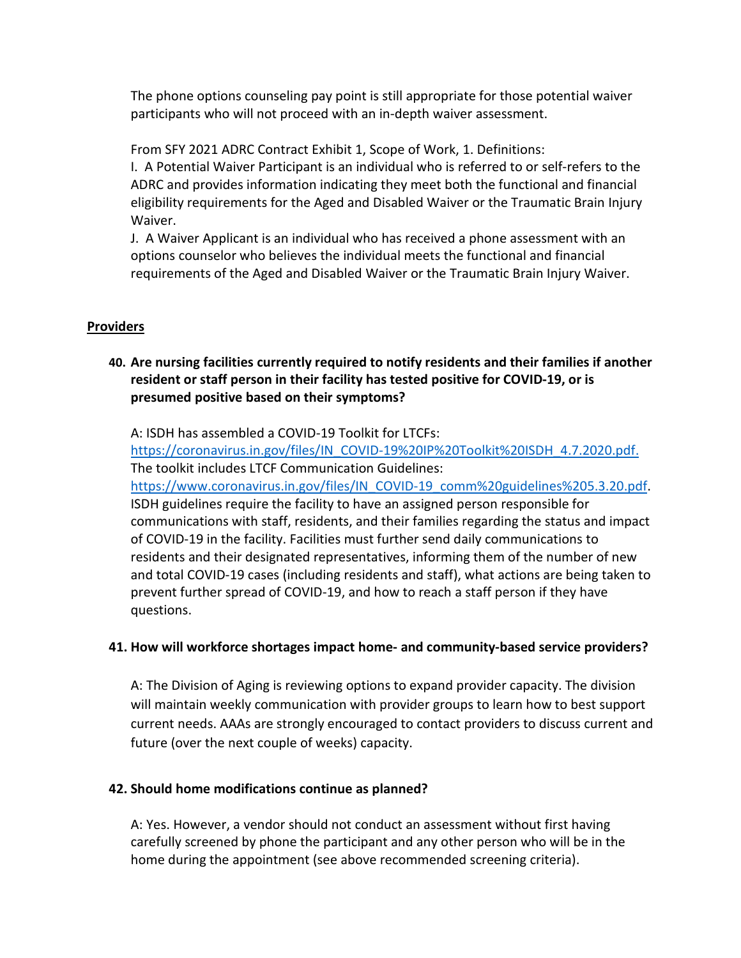The phone options counseling pay point is still appropriate for those potential waiver participants who will not proceed with an in-depth waiver assessment.

From SFY 2021 ADRC Contract Exhibit 1, Scope of Work, 1. Definitions: I. A Potential Waiver Participant is an individual who is referred to or self-refers to the ADRC and provides information indicating they meet both the functional and financial eligibility requirements for the Aged and Disabled Waiver or the Traumatic Brain Injury Waiver.

J. A Waiver Applicant is an individual who has received a phone assessment with an options counselor who believes the individual meets the functional and financial requirements of the Aged and Disabled Waiver or the Traumatic Brain Injury Waiver.

#### **Providers**

# **40. Are nursing facilities currently required to notify residents and their families if another resident or staff person in their facility has tested positive for COVID-19, or is presumed positive based on their symptoms?**

A: ISDH has assembled a COVID-19 Toolkit for LTCFs:

[https://coronavirus.in.gov/files/IN\\_COVID-19%20IP%20Toolkit%20ISDH\\_4.7.2020.pdf.](https://coronavirus.in.gov/files/IN_COVID-19%20IP%20Toolkit%20ISDH_4.7.2020.pdf) The toolkit includes LTCF Communication Guidelines: [https://www.coronavirus.in.gov/files/IN\\_COVID-19\\_comm%20guidelines%205.3.20.pdf.](https://www.coronavirus.in.gov/files/IN_COVID-19_comm%20guidelines%205.3.20.pdf) ISDH guidelines require the facility to have an assigned person responsible for communications with staff, residents, and their families regarding the status and impact of COVID-19 in the facility. Facilities must further send daily communications to residents and their designated representatives, informing them of the number of new and total COVID-19 cases (including residents and staff), what actions are being taken to prevent further spread of COVID-19, and how to reach a staff person if they have questions.

#### **41. How will workforce shortages impact home- and community-based service providers?**

A: The Division of Aging is reviewing options to expand provider capacity. The division will maintain weekly communication with provider groups to learn how to best support current needs. AAAs are strongly encouraged to contact providers to discuss current and future (over the next couple of weeks) capacity.

#### **42. Should home modifications continue as planned?**

A: Yes. However, a vendor should not conduct an assessment without first having carefully screened by phone the participant and any other person who will be in the home during the appointment (see above recommended screening criteria).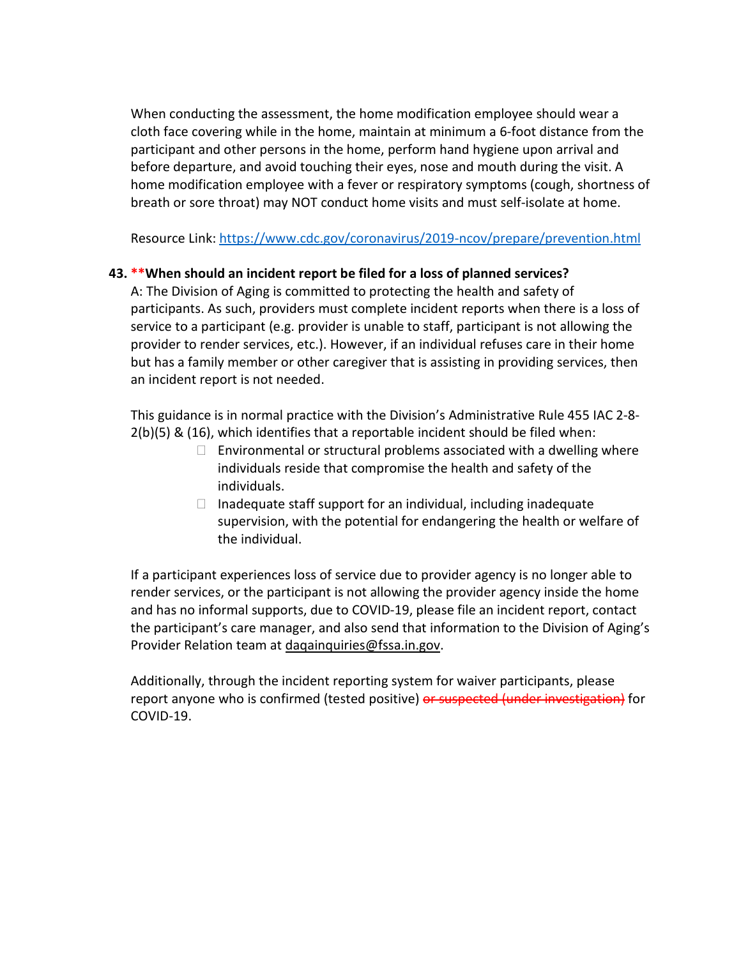When conducting the assessment, the home modification employee should wear a cloth face covering while in the home, maintain at minimum a 6-foot distance from the participant and other persons in the home, perform hand hygiene upon arrival and before departure, and avoid touching their eyes, nose and mouth during the visit. A home modification employee with a fever or respiratory symptoms (cough, shortness of breath or sore throat) may NOT conduct home visits and must self-isolate at home.

Resource Link: <https://www.cdc.gov/coronavirus/2019-ncov/prepare/prevention.html>

# **43. \*\*When should an incident report be filed for a loss of planned services?**

A: The Division of Aging is committed to protecting the health and safety of participants. As such, providers must complete incident reports when there is a loss of service to a participant (e.g. provider is unable to staff, participant is not allowing the provider to render services, etc.). However, if an individual refuses care in their home but has a family member or other caregiver that is assisting in providing services, then an incident report is not needed.

This guidance is in normal practice with the Division's Administrative Rule 455 IAC 2-8- 2(b)(5) & (16), which identifies that a reportable incident should be filed when:

- $\Box$  Environmental or structural problems associated with a dwelling where individuals reside that compromise the health and safety of the individuals.
- $\Box$  Inadequate staff support for an individual, including inadequate supervision, with the potential for endangering the health or welfare of the individual.

If a participant experiences loss of service due to provider agency is no longer able to render services, or the participant is not allowing the provider agency inside the home and has no informal supports, due to COVID-19, please file an incident report, contact the participant's care manager, and also send that information to the Division of Aging's Provider Relation team at [daqainquiries@fssa.in.gov.](mailto:daqainquiries@fssa.in.gov)

Additionally, through the incident reporting system for waiver participants, please report anyone who is confirmed (tested positive) or suspected (under investigation) for COVID-19.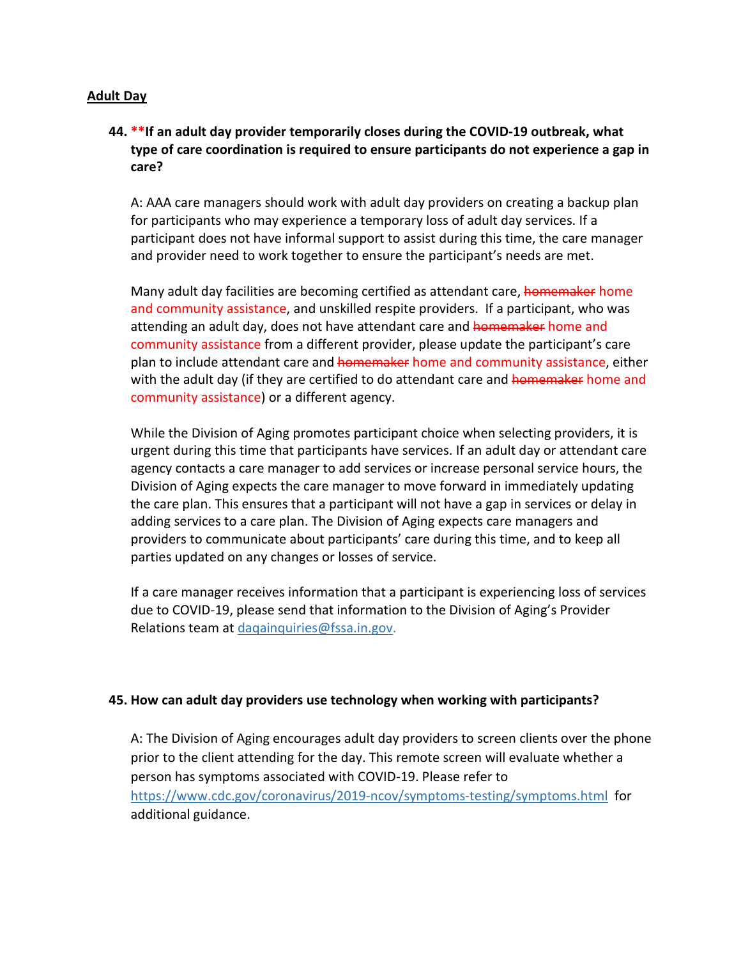#### **Adult Day**

# **44. \*\*If an adult day provider temporarily closes during the COVID-19 outbreak, what type of care coordination is required to ensure participants do not experience a gap in care?**

A: AAA care managers should work with adult day providers on creating a backup plan for participants who may experience a temporary loss of adult day services. If a participant does not have informal support to assist during this time, the care manager and provider need to work together to ensure the participant's needs are met.

Many adult day facilities are becoming certified as attendant care, homemaker home and community assistance, and unskilled respite providers. If a participant, who was attending an adult day, does not have attendant care and homemaker home and community assistance from a different provider, please update the participant's care plan to include attendant care and homemaker home and community assistance, either with the adult day (if they are certified to do attendant care and home maker home and community assistance) or a different agency.

While the Division of Aging promotes participant choice when selecting providers, it is urgent during this time that participants have services. If an adult day or attendant care agency contacts a care manager to add services or increase personal service hours, the Division of Aging expects the care manager to move forward in immediately updating the care plan. This ensures that a participant will not have a gap in services or delay in adding services to a care plan. The Division of Aging expects care managers and providers to communicate about participants' care during this time, and to keep all parties updated on any changes or losses of service.

If a care manager receives information that a participant is experiencing loss of services due to COVID-19, please send that information to the Division of Aging's Provider Relations team at dagainquiries@fssa.in.gov.

#### **45. How can adult day providers use technology when working with participants?**

A: The Division of Aging encourages adult day providers to screen clients over the phone prior to the client attending for the day. This remote screen will evaluate whether a person has symptoms associated with COVID-19. Please refer to <https://www.cdc.gov/coronavirus/2019-ncov/symptoms-testing/symptoms.html>for additional guidance.